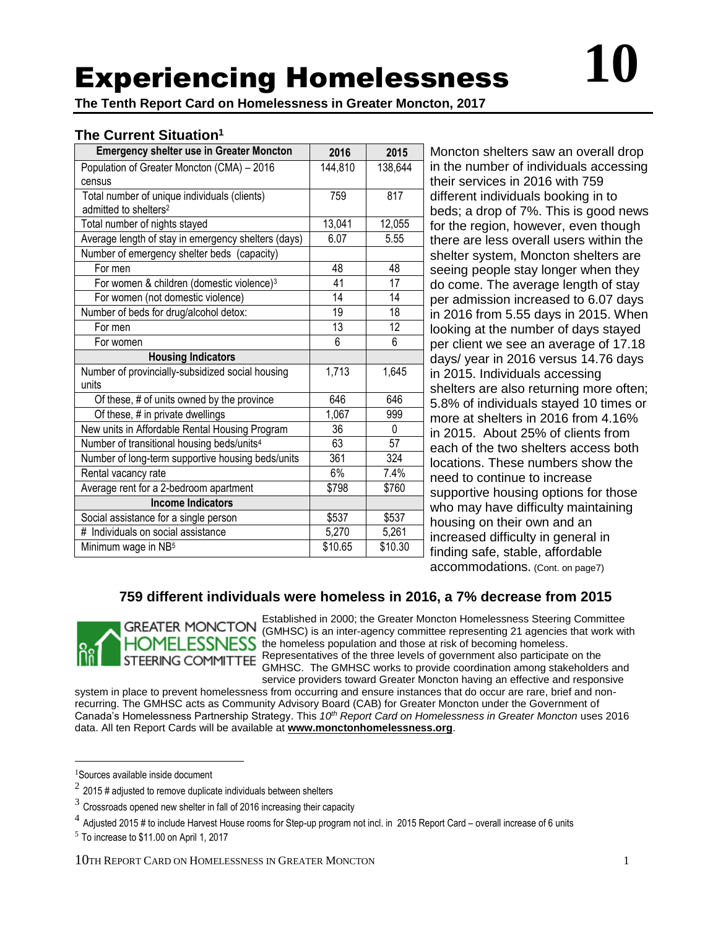# Experiencing Homelessness

**The Tenth Report Card on Homelessness in Greater Moncton, 2017**

# **The Current Situation<sup>1</sup>**

| <b>Emergency shelter use in Greater Moncton</b>        | 2016    | 2015     |
|--------------------------------------------------------|---------|----------|
| Population of Greater Moncton (CMA) - 2016             | 144,810 | 138,644  |
| census                                                 |         |          |
| Total number of unique individuals (clients)           | 759     | 817      |
| admitted to shelters <sup>2</sup>                      |         |          |
| Total number of nights stayed                          | 13,041  | 12,055   |
| Average length of stay in emergency shelters (days)    | 6.07    | 5.55     |
| Number of emergency shelter beds (capacity)            |         |          |
| For men                                                | 48      | 48       |
| For women & children (domestic violence) <sup>3</sup>  | 41      | 17       |
| For women (not domestic violence)                      | 14      | 14       |
| Number of beds for drug/alcohol detox:                 | 19      | 18       |
| For men                                                | 13      | 12       |
| For women                                              | 6       | 6        |
| <b>Housing Indicators</b>                              |         |          |
| Number of provincially-subsidized social housing       | 1,713   | 1,645    |
| units                                                  |         |          |
| Of these, # of units owned by the province             | 646     | 646      |
| Of these, # in private dwellings                       | 1,067   | 999      |
| New units in Affordable Rental Housing Program         | 36      | $\Omega$ |
| Number of transitional housing beds/units <sup>4</sup> | 63      | 57       |
| Number of long-term supportive housing beds/units      | 361     | 324      |
| Rental vacancy rate                                    | 6%      | 7.4%     |
| Average rent for a 2-bedroom apartment                 | \$798   | \$760    |
| <b>Income Indicators</b>                               |         |          |
| Social assistance for a single person                  | \$537   | \$537    |
| # Individuals on social assistance                     | 5,270   | 5,261    |
| Minimum wage in NB <sup>5</sup>                        | \$10.65 | \$10.30  |

**Moncton shelters saw an overall drop** in the number of individuals accessing their services in 2016 with 759 different individuals booking in to beds; a drop of 7%. This is good news for the region, however, even though there are less overall users within the shelter system, Moncton shelters are seeing people stay longer when they do come. The average length of stay per admission increased to 6.07 days in 2016 from 5.55 days in 2015. When looking at the number of days stayed per client we see an average of 17.18 days/ year in 2016 versus 14.76 days in 2015. Individuals accessing shelters are also returning more often; 5.8% of individuals stayed 10 times or more at shelters in 2016 from 4.16% in 2015. About 25% of clients from each of the two shelters access both locations. These numbers show the need to continue to increase supportive housing options for those who may have difficulty maintaining housing on their own and an increased difficulty in general in finding safe, stable, affordable accommodations. (Cont. on page7)

## **759 different individuals were homeless in 2016, a 7% decrease from 2015**



Established in 2000; the Greater Moncton Homelessness Steering Committee (GMHSC) is an inter-agency committee representing 21 agencies that work with **ESSNESS** the homeless population and those at risk of becoming homeless. Representatives of the three levels of government also participate on the GMHSC. The GMHSC works to provide coordination among stakeholders and service providers toward Greater Moncton having an effective and responsive

system in place to prevent homelessness from occurring and ensure instances that do occur are rare, brief and nonrecurring. The GMHSC acts as Community Advisory Board (CAB) for Greater Moncton under the Government of Canada's Homelessness Partnership Strategy. This *10th Report Card on Homelessness in Greater Moncton* uses 2016 data. All ten Report Cards will be available at **[www.monctonhomelessness.org](http://www.monctonhomelessness.org/)**.

 $\overline{a}$ 

<sup>1</sup>Sources available inside document

 $^2$  2015 # adjusted to remove duplicate individuals between shelters

 $3$  Crossroads opened new shelter in fall of 2016 increasing their capacity

 $^4$  Adjusted 2015 # to include Harvest House rooms for Step-up program not incl. in 2015 Report Card – overall increase of 6 units

 $<sup>5</sup>$  To increase to \$11.00 on April 1, 2017</sup>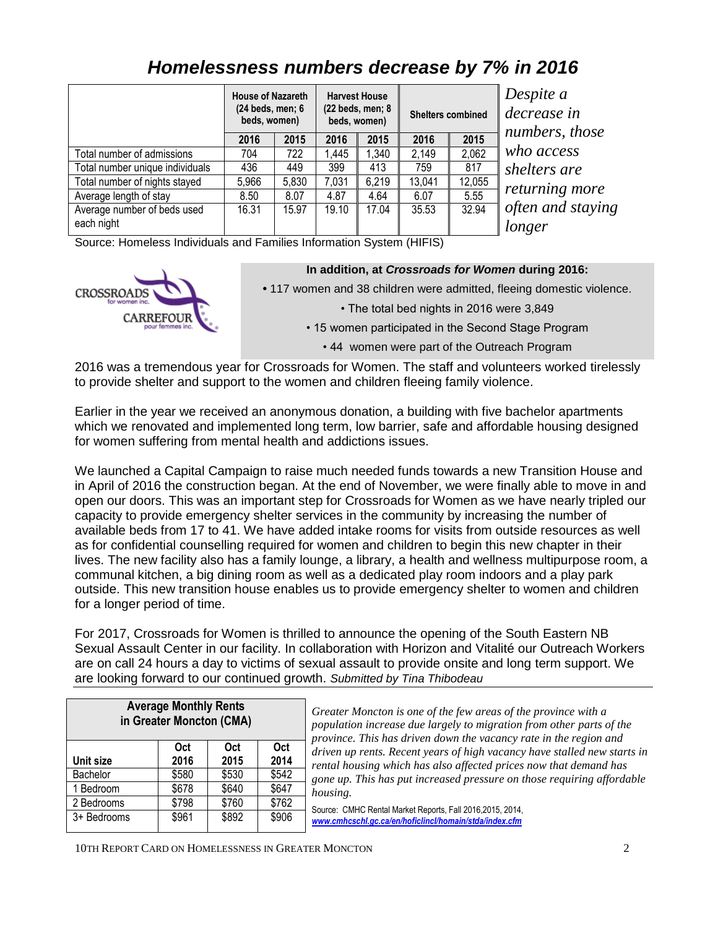|                                 | <b>House of Nazareth</b><br>$(24$ beds, men; $6$<br>beds, women) |       | <b>Harvest House</b><br>$(22$ beds, men; $8$<br><b>Shelters combined</b><br>beds, women) |       | Despite a<br>decrease in<br>numbers, those |        |                   |
|---------------------------------|------------------------------------------------------------------|-------|------------------------------------------------------------------------------------------|-------|--------------------------------------------|--------|-------------------|
|                                 | 2016                                                             | 2015  | 2016                                                                                     | 2015  | 2016                                       | 2015   |                   |
| Total number of admissions      | 704                                                              | 722   | 1.445                                                                                    | 1,340 | 2,149                                      | 2,062  | who access        |
| Total number unique individuals | 436                                                              | 449   | 399                                                                                      | 413   | 759                                        | 817    | shelters are      |
| Total number of nights stayed   | 5,966                                                            | 5,830 | 7,031                                                                                    | 6,219 | 13,041                                     | 12,055 |                   |
| Average length of stay          | 8.50                                                             | 8.07  | 4.87                                                                                     | 4.64  | 6.07                                       | 5.55   | returning more    |
| Average number of beds used     | 16.31                                                            | 15.97 | 19.10                                                                                    | 17.04 | 35.53                                      | 32.94  | often and staying |
| each night                      |                                                                  |       |                                                                                          |       |                                            |        | longer            |

# *Homelessness numbers decrease by 7% in 2016*

Source: Homeless Individuals and Families Information System (HIFIS)



2016 was a tremendous year for Crossroads for Women. The staff and volunteers worked tirelessly to provide shelter and support to the women and children fleeing family violence.

Earlier in the year we received an anonymous donation, a building with five bachelor apartments which we renovated and implemented long term, low barrier, safe and affordable housing designed for women suffering from mental health and addictions issues.

We launched a Capital Campaign to raise much needed funds towards a new Transition House and in April of 2016 the construction began. At the end of November, we were finally able to move in and open our doors. This was an important step for Crossroads for Women as we have nearly tripled our capacity to provide emergency shelter services in the community by increasing the number of available beds from 17 to 41. We have added intake rooms for visits from outside resources as well as for confidential counselling required for women and children to begin this new chapter in their lives. The new facility also has a family lounge, a library, a health and wellness multipurpose room, a communal kitchen, a big dining room as well as a dedicated play room indoors and a play park outside. This new transition house enables us to provide emergency shelter to women and children for a longer period of time.

For 2017, Crossroads for Women is thrilled to announce the opening of the South Eastern NB Sexual Assault Center in our facility. In collaboration with Horizon and Vitalité our Outreach Workers are on call 24 hours a day to victims of sexual assault to provide onsite and long term support. We are looking forward to our continued growth. *Submitted by Tina Thibodeau*

| <b>Average Monthly Rents</b><br>in Greater Moncton (CMA) |       |            |       |  |
|----------------------------------------------------------|-------|------------|-------|--|
|                                                          | Oct   | <b>Oct</b> | Oct   |  |
| Unit size                                                | 2016  | 2015       | 2014  |  |
| Bachelor                                                 | \$580 | \$530      | \$542 |  |
| 1 Bedroom                                                | \$678 | \$640      | \$647 |  |
| 2 Bedrooms                                               | \$798 | \$760      | \$762 |  |
| 3+ Bedrooms                                              | \$961 | \$892      | \$906 |  |
|                                                          |       |            |       |  |

reater Moncton is one of the few areas of the province with a *population increase due largely to migration from other parts of the province. This has driven down the vacancy rate in the region and driven up rents. Recent years of high vacancy have stalled new starts in ntal housing which has also affected prices now that demand has gone up. This has put increased pressure on those requiring affordable housing.* 

urce: CMHC Rental Market Reports, Fall 2016,2015, 2014, *[www.cmhcschl.gc.ca/en/hoficlincl/homain/stda/index.cfm](http://www.cmhcschl.gc.ca/en/hoficlincl/homain/stda/index.cfm)*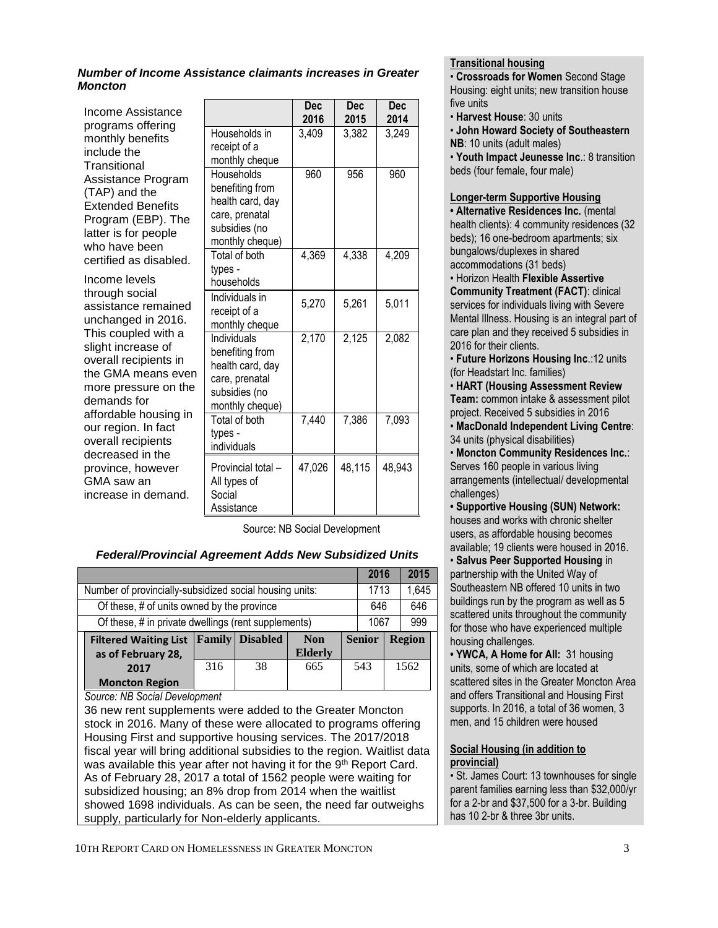#### *Number of Income Assistance claimants increases in Greater Moncton*

Income Assistance programs offering monthly benefits include the **Transitional** Assistance Program (TAP) and the Extended Benefits Program (EBP). The latter is for people who have been certified as disabled.

Income levels through social assistance remained unchanged in 2016. This coupled with a slight increase of overall recipients in the GMA means even more pressure on the demands for affordable housing in our region. In fact overall recipients decreased in the province, however GMA saw an increase in demand.

|                                                                                                          | <b>Dec</b><br>2016 | <b>Dec</b><br>2015 | <b>Dec</b><br>2014 |
|----------------------------------------------------------------------------------------------------------|--------------------|--------------------|--------------------|
| Households in<br>receipt of a<br>monthly cheque                                                          | 3,409              | 3,382              | 3,249              |
| Households<br>benefiting from<br>health card, day<br>care, prenatal<br>subsidies (no<br>monthly cheque)  | 960                | 956                | 960                |
| Total of both<br>types -<br>households                                                                   | 4,369              | 4,338              | 4,209              |
| Individuals in<br>receipt of a<br>monthly cheque                                                         | 5,270              | 5,261              | 5,011              |
| Individuals<br>benefiting from<br>health card, day<br>care, prenatal<br>subsidies (no<br>monthly cheque) | 2,170              | 2,125              | 2,082              |
| Total of both<br>types -<br>individuals                                                                  | 7,440              | 7,386              | 7,093              |
| Provincial total -<br>All types of<br>Social<br>Assistance                                               | 47,026             | 48,115             | 48,943             |

Source: NB Social Development

#### *Federal/Provincial Agreement Adds New Subsidized Units*

|                                                                                                                                                                                                                                                                                                                                                                                        |                                                     |                          |                |               | 2016 |     | 2015          |
|----------------------------------------------------------------------------------------------------------------------------------------------------------------------------------------------------------------------------------------------------------------------------------------------------------------------------------------------------------------------------------------|-----------------------------------------------------|--------------------------|----------------|---------------|------|-----|---------------|
| Number of provincially-subsidized social housing units:                                                                                                                                                                                                                                                                                                                                |                                                     |                          |                |               | 1713 |     | 1,645         |
| Of these, # of units owned by the province                                                                                                                                                                                                                                                                                                                                             |                                                     |                          |                | 646           |      | 646 |               |
|                                                                                                                                                                                                                                                                                                                                                                                        | Of these, # in private dwellings (rent supplements) |                          |                |               | 1067 |     | 999           |
| <b>Filtered Waiting List</b>                                                                                                                                                                                                                                                                                                                                                           |                                                     | <b>Family   Disabled</b> | <b>Non</b>     | <b>Senior</b> |      |     | <b>Region</b> |
| as of February 28,                                                                                                                                                                                                                                                                                                                                                                     | 316                                                 | 38                       | <b>Elderly</b> |               | 543  |     | 1562          |
| 2017                                                                                                                                                                                                                                                                                                                                                                                   |                                                     |                          | 665            |               |      |     |               |
| <b>Moncton Region</b><br>$\Omega$ . $\Omega$ , $\Omega$ , $\Omega$ , $\Omega$ , $\Omega$ , $\Omega$ , $\Omega$ , $\Omega$ , $\Omega$ , $\Omega$ , $\Omega$ , $\Omega$ , $\Omega$ , $\Omega$ , $\Omega$ , $\Omega$ , $\Omega$ , $\Omega$ , $\Omega$ , $\Omega$ , $\Omega$ , $\Omega$ , $\Omega$ , $\Omega$ , $\Omega$ , $\Omega$ , $\Omega$ , $\Omega$ , $\Omega$ , $\Omega$ , $\Omega$ |                                                     |                          |                |               |      |     |               |

*Source: NB Social Development*

36 new rent supplements were added to the Greater Moncton stock in 2016. Many of these were allocated to programs offering Housing First and supportive housing services. The 2017/2018 fiscal year will bring additional subsidies to the region. Waitlist data was available this year after not having it for the 9<sup>th</sup> Report Card. As of February 28, 2017 a total of 1562 people were waiting for subsidized housing; an 8% drop from 2014 when the waitlist showed 1698 individuals. As can be seen, the need far outweighs supply, particularly for Non-elderly applicants.

#### 10TH REPORT CARD ON HOMELESSNESS IN GREATER MONCTON 3

#### **Transitional housing**

• **Crossroads for Women** Second Stage Housing: eight units; new transition house five units

• **Harvest House**: 30 units

• **John Howard Society of Southeastern NB**: 10 units (adult males)

• **Youth Impact Jeunesse Inc**.: 8 transition beds (four female, four male)

#### **Longer-term Supportive Housing**

**• Alternative Residences Inc.** (mental health clients): 4 community residences (32 beds); 16 one-bedroom apartments; six bungalows/duplexes in shared accommodations (31 beds)

• Horizon Health **Flexible Assertive** 

**Community Treatment (FACT)**: clinical services for individuals living with Severe Mental Illness. Housing is an integral part of care plan and they received 5 subsidies in 2016 for their clients.

• **Future Horizons Housing Inc**.:12 units (for Headstart Inc. families)

• **HART (Housing Assessment Review Team:** common intake & assessment pilot project. Received 5 subsidies in 2016 • **MacDonald Independent Living Centre**:

34 units (physical disabilities)

• **Moncton Community Residences Inc.**: Serves 160 people in various living arrangements (intellectual/ developmental

challenges) **• Supportive Housing (SUN) Network:** houses and works with chronic shelter users, as affordable housing becomes available; 19 clients were housed in 2016.

• **Salvus Peer Supported Housing** in partnership with the United Way of Southeastern NB offered 10 units in two buildings run by the program as well as 5 scattered units throughout the community for those who have experienced multiple housing challenges.

**• YWCA, A Home for All:** 31 housing units, some of which are located at scattered sites in the Greater Moncton Area and offers Transitional and Housing First supports. In 2016, a total of 36 women, 3 men, and 15 children were housed

#### **Social Housing (in addition to provincial)**

• St. James Court: 13 townhouses for single parent families earning less than \$32,000/yr for a 2-br and \$37,500 for a 3-br. Building has 10 2-br & three 3br units.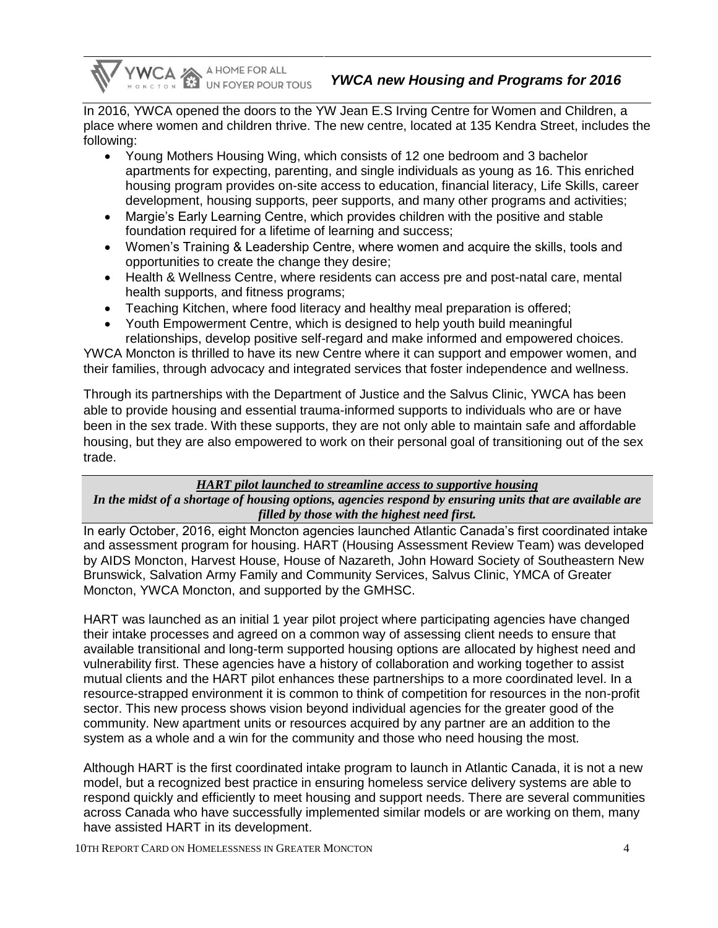YWCA A HOME FOR ALL

In 2016, YWCA opened the doors to the YW Jean E.S Irving Centre for Women and Children, a place where women and children thrive. The new centre, located at 135 Kendra Street, includes the following:

- Young Mothers Housing Wing, which consists of 12 one bedroom and 3 bachelor apartments for expecting, parenting, and single individuals as young as 16. This enriched housing program provides on-site access to education, financial literacy, Life Skills, career development, housing supports, peer supports, and many other programs and activities;
- Margie's Early Learning Centre, which provides children with the positive and stable foundation required for a lifetime of learning and success;
- Women's Training & Leadership Centre, where women and acquire the skills, tools and opportunities to create the change they desire;
- Health & Wellness Centre, where residents can access pre and post-natal care, mental health supports, and fitness programs;
- Teaching Kitchen, where food literacy and healthy meal preparation is offered;
- Youth Empowerment Centre, which is designed to help youth build meaningful relationships, develop positive self-regard and make informed and empowered choices.

YWCA Moncton is thrilled to have its new Centre where it can support and empower women, and their families, through advocacy and integrated services that foster independence and wellness.

Through its partnerships with the Department of Justice and the Salvus Clinic, YWCA has been able to provide housing and essential trauma-informed supports to individuals who are or have been in the sex trade. With these supports, they are not only able to maintain safe and affordable housing, but they are also empowered to work on their personal goal of transitioning out of the sex trade.

## *HART pilot launched to streamline access to supportive housing*

## *In the midst of a shortage of housing options, agencies respond by ensuring units that are available are filled by those with the highest need first.*

In early October, 2016, eight Moncton agencies launched Atlantic Canada's first coordinated intake and assessment program for housing. HART (Housing Assessment Review Team) was developed by AIDS Moncton, Harvest House, House of Nazareth, John Howard Society of Southeastern New Brunswick, Salvation Army Family and Community Services, Salvus Clinic, YMCA of Greater Moncton, YWCA Moncton, and supported by the GMHSC.

HART was launched as an initial 1 year pilot project where participating agencies have changed their intake processes and agreed on a common way of assessing client needs to ensure that available transitional and long-term supported housing options are allocated by highest need and vulnerability first. These agencies have a history of collaboration and working together to assist mutual clients and the HART pilot enhances these partnerships to a more coordinated level. In a resource-strapped environment it is common to think of competition for resources in the non-profit sector. This new process shows vision beyond individual agencies for the greater good of the community. New apartment units or resources acquired by any partner are an addition to the system as a whole and a win for the community and those who need housing the most.

Although HART is the first coordinated intake program to launch in Atlantic Canada, it is not a new model, but a recognized best practice in ensuring homeless service delivery systems are able to respond quickly and efficiently to meet housing and support needs. There are several communities across Canada who have successfully implemented similar models or are working on them, many have assisted HART in its development.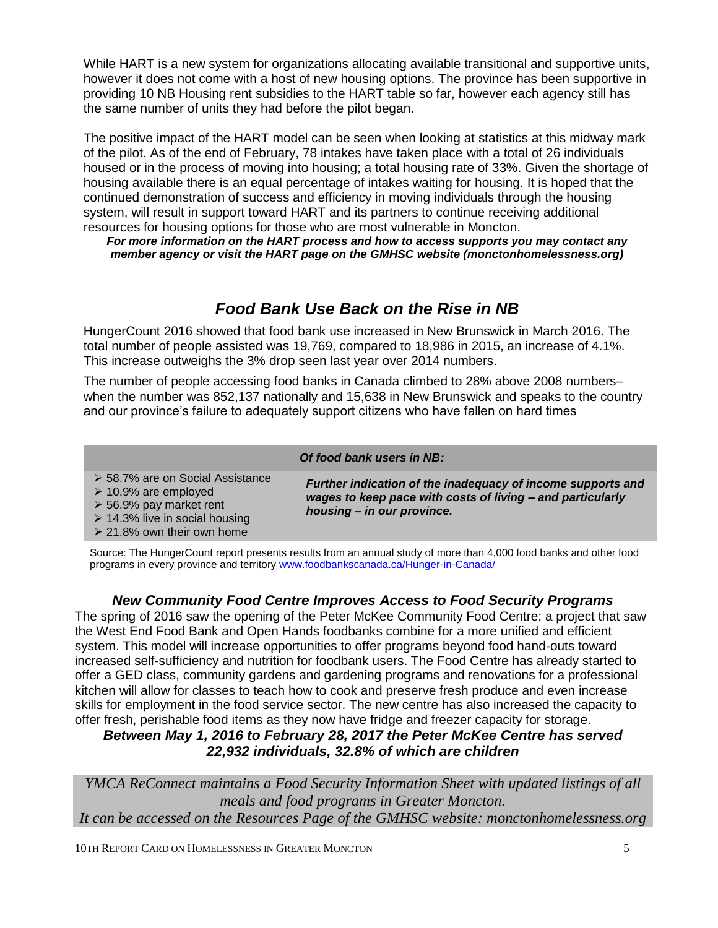While HART is a new system for organizations allocating available transitional and supportive units, however it does not come with a host of new housing options. The province has been supportive in providing 10 NB Housing rent subsidies to the HART table so far, however each agency still has the same number of units they had before the pilot began.

The positive impact of the HART model can be seen when looking at statistics at this midway mark of the pilot. As of the end of February, 78 intakes have taken place with a total of 26 individuals housed or in the process of moving into housing; a total housing rate of 33%. Given the shortage of housing available there is an equal percentage of intakes waiting for housing. It is hoped that the continued demonstration of success and efficiency in moving individuals through the housing system, will result in support toward HART and its partners to continue receiving additional resources for housing options for those who are most vulnerable in Moncton.

*For more information on the HART process and how to access supports you may contact any member agency or visit the HART page on the GMHSC website (monctonhomelessness.org)*

## *Food Bank Use Back on the Rise in NB*

HungerCount 2016 showed that food bank use increased in New Brunswick in March 2016. The total number of people assisted was 19,769, compared to 18,986 in 2015, an increase of 4.1%. This increase outweighs the 3% drop seen last year over 2014 numbers.

The number of people accessing food banks in Canada climbed to 28% above 2008 numbers– when the number was 852,137 nationally and 15,638 in New Brunswick and speaks to the country and our province's failure to adequately support citizens who have fallen on hard times

#### *Of food bank users in NB:*

| > 58.7% are on Social Assistance<br>$\geq 10.9\%$ are employed<br>$\ge$ 56.9% pay market rent<br>$\geq$ 14.3% live in social housing<br>$\geq$ 21.8% own their own home | Further indication of the inadequacy of income supports and<br>wages to keep pace with costs of living – and particularly<br>housing - in our province. |
|-------------------------------------------------------------------------------------------------------------------------------------------------------------------------|---------------------------------------------------------------------------------------------------------------------------------------------------------|
|-------------------------------------------------------------------------------------------------------------------------------------------------------------------------|---------------------------------------------------------------------------------------------------------------------------------------------------------|

Source: The HungerCount report presents results from an annual study of more than 4,000 food banks and other food programs in every province and territory [www.foodbankscanada.ca/Hunger-in-Canada/](http://www.foodbankscanada.ca/Hunger-in-Canada/)

## *New Community Food Centre Improves Access to Food Security Programs*

The spring of 2016 saw the opening of the Peter McKee Community Food Centre; a project that saw the West End Food Bank and Open Hands foodbanks combine for a more unified and efficient system. This model will increase opportunities to offer programs beyond food hand-outs toward increased self-sufficiency and nutrition for foodbank users. The Food Centre has already started to offer a GED class, community gardens and gardening programs and renovations for a professional kitchen will allow for classes to teach how to cook and preserve fresh produce and even increase skills for employment in the food service sector. The new centre has also increased the capacity to offer fresh, perishable food items as they now have fridge and freezer capacity for storage.

## *Between May 1, 2016 to February 28, 2017 the Peter McKee Centre has served 22,932 individuals, 32.8% of which are children*

*YMCA ReConnect maintains a Food Security Information Sheet with updated listings of all meals and food programs in Greater Moncton. It can be accessed on the Resources Page of the GMHSC website: monctonhomelessness.org*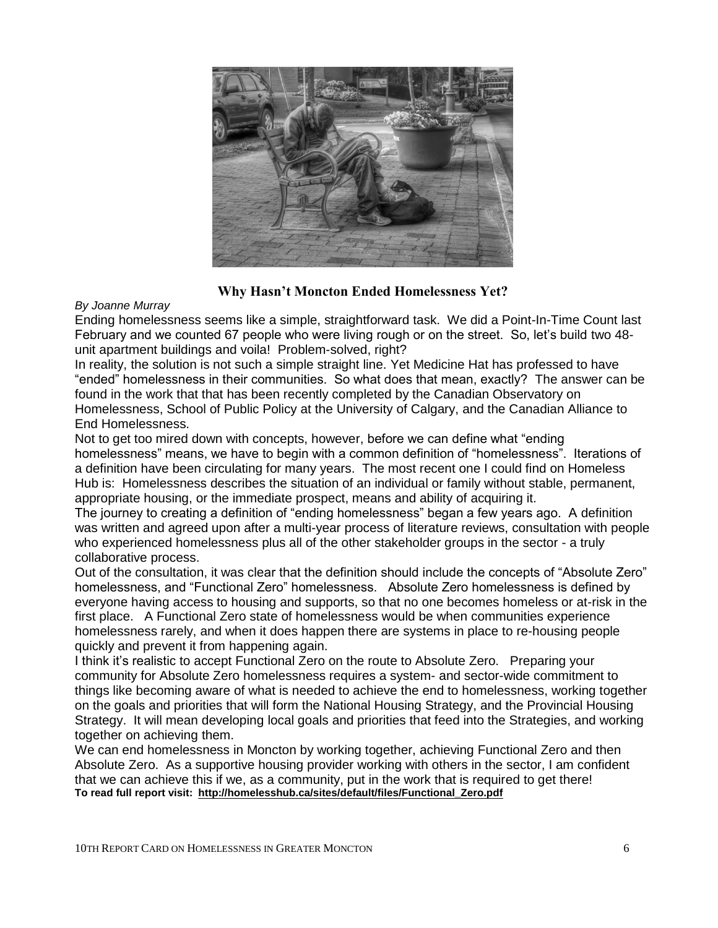

## **Why Hasn't Moncton Ended Homelessness Yet?**

#### *By Joanne Murray*

Ending homelessness seems like a simple, straightforward task. We did a Point-In-Time Count last February and we counted 67 people who were living rough or on the street. So, let's build two 48 unit apartment buildings and voila! Problem-solved, right?

In reality, the solution is not such a simple straight line. Yet Medicine Hat has professed to have "ended" homelessness in their communities. So what does that mean, exactly? The answer can be found in the work that that has been recently completed by the Canadian Observatory on Homelessness, School of Public Policy at the University of Calgary, and the Canadian Alliance to End Homelessness.

Not to get too mired down with concepts, however, before we can define what "ending homelessness" means, we have to begin with a common definition of "homelessness". Iterations of a definition have been circulating for many years. The most recent one I could find on Homeless Hub is: Homelessness describes the situation of an individual or family without stable, permanent, appropriate housing, or the immediate prospect, means and ability of acquiring it.

The journey to creating a definition of "ending homelessness" began a few years ago. A definition was written and agreed upon after a multi-year process of literature reviews, consultation with people who experienced homelessness plus all of the other stakeholder groups in the sector - a truly collaborative process.

Out of the consultation, it was clear that the definition should include the concepts of "Absolute Zero" homelessness, and "Functional Zero" homelessness. Absolute Zero homelessness is defined by everyone having access to housing and supports, so that no one becomes homeless or at-risk in the first place. A Functional Zero state of homelessness would be when communities experience homelessness rarely, and when it does happen there are systems in place to re-housing people quickly and prevent it from happening again.

I think it's realistic to accept Functional Zero on the route to Absolute Zero. Preparing your community for Absolute Zero homelessness requires a system- and sector-wide commitment to things like becoming aware of what is needed to achieve the end to homelessness, working together on the goals and priorities that will form the National Housing Strategy, and the Provincial Housing Strategy. It will mean developing local goals and priorities that feed into the Strategies, and working together on achieving them.

We can end homelessness in Moncton by working together, achieving Functional Zero and then Absolute Zero. As a supportive housing provider working with others in the sector, I am confident that we can achieve this if we, as a community, put in the work that is required to get there! **To read full report visit: [http://homelesshub.ca/sites/default/files/Functional\\_Zero.pdf](http://homelesshub.ca/sites/default/files/Functional_Zero.pdf)**